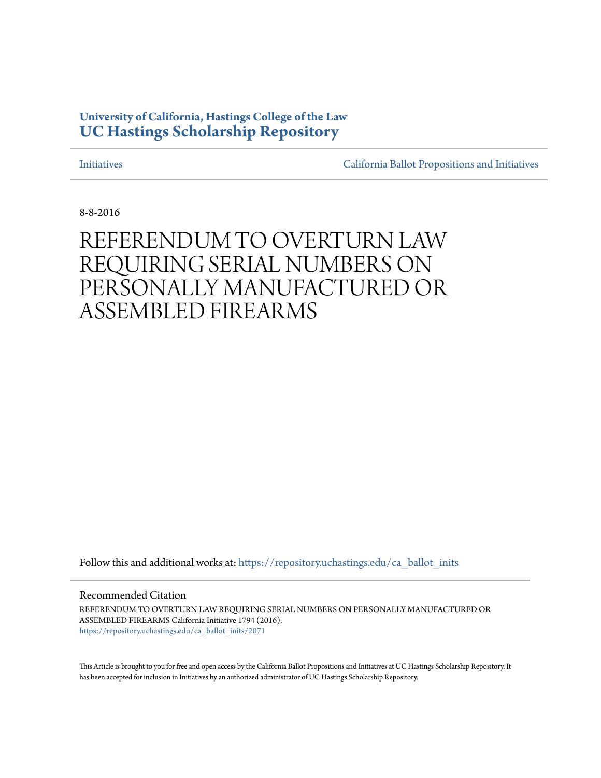### **University of California, Hastings College of the Law [UC Hastings Scholarship Repository](https://repository.uchastings.edu?utm_source=repository.uchastings.edu%2Fca_ballot_inits%2F2071&utm_medium=PDF&utm_campaign=PDFCoverPages)**

[Initiatives](https://repository.uchastings.edu/ca_ballot_inits?utm_source=repository.uchastings.edu%2Fca_ballot_inits%2F2071&utm_medium=PDF&utm_campaign=PDFCoverPages) [California Ballot Propositions and Initiatives](https://repository.uchastings.edu/ca_ballots?utm_source=repository.uchastings.edu%2Fca_ballot_inits%2F2071&utm_medium=PDF&utm_campaign=PDFCoverPages)

8-8-2016

# REFERENDUM TO OVERTURN LAW REQUIRING SERIAL NUMBERS ON PERSONALLY MANUFACTURED OR ASSEMBLED FIREARMS

Follow this and additional works at: [https://repository.uchastings.edu/ca\\_ballot\\_inits](https://repository.uchastings.edu/ca_ballot_inits?utm_source=repository.uchastings.edu%2Fca_ballot_inits%2F2071&utm_medium=PDF&utm_campaign=PDFCoverPages)

Recommended Citation

REFERENDUM TO OVERTURN LAW REQUIRING SERIAL NUMBERS ON PERSONALLY MANUFACTURED OR ASSEMBLED FIREARMS California Initiative 1794 (2016). [https://repository.uchastings.edu/ca\\_ballot\\_inits/2071](https://repository.uchastings.edu/ca_ballot_inits/2071?utm_source=repository.uchastings.edu%2Fca_ballot_inits%2F2071&utm_medium=PDF&utm_campaign=PDFCoverPages)

This Article is brought to you for free and open access by the California Ballot Propositions and Initiatives at UC Hastings Scholarship Repository. It has been accepted for inclusion in Initiatives by an authorized administrator of UC Hastings Scholarship Repository.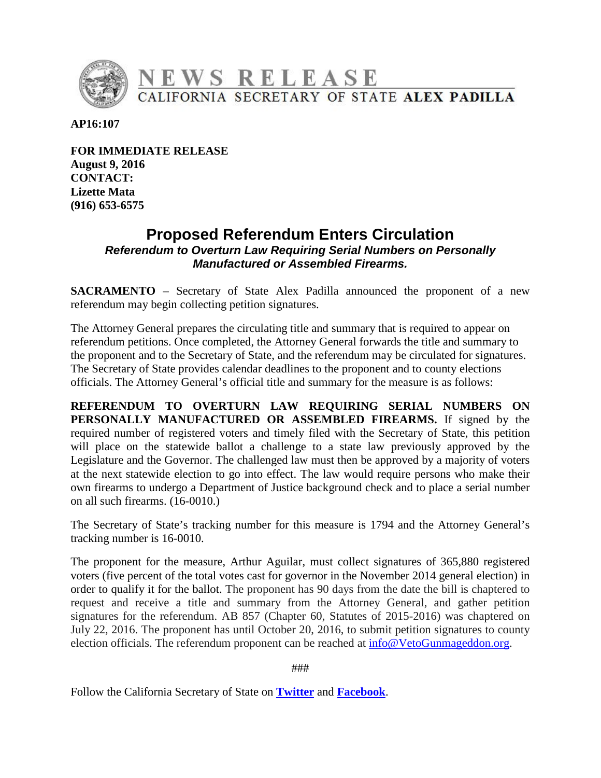

**AP16:107** 

**FOR IMMEDIATE RELEASE August 9, 2016 CONTACT: Lizette Mata (916) 653-6575** 

### **Proposed Referendum Enters Circulation**  *Referendum to Overturn Law Requiring Serial Numbers on Personally Manufactured or Assembled Firearms.*

**SACRAMENTO** – Secretary of State Alex Padilla announced the proponent of a new referendum may begin collecting petition signatures.

The Attorney General prepares the circulating title and summary that is required to appear on referendum petitions. Once completed, the Attorney General forwards the title and summary to the proponent and to the Secretary of State, and the referendum may be circulated for signatures. The Secretary of State provides calendar deadlines to the proponent and to county elections officials. The Attorney General's official title and summary for the measure is as follows:

**REFERENDUM TO OVERTURN LAW REQUIRING SERIAL NUMBERS ON PERSONALLY MANUFACTURED OR ASSEMBLED FIREARMS.** If signed by the required number of registered voters and timely filed with the Secretary of State, this petition will place on the statewide ballot a challenge to a state law previously approved by the Legislature and the Governor. The challenged law must then be approved by a majority of voters at the next statewide election to go into effect. The law would require persons who make their own firearms to undergo a Department of Justice background check and to place a serial number on all such firearms. (16-0010.)

The Secretary of State's tracking number for this measure is 1794 and the Attorney General's tracking number is 16-0010.

The proponent for the measure, Arthur Aguilar, must collect signatures of 365,880 registered voters (five percent of the total votes cast for governor in the November 2014 general election) in order to qualify it for the ballot. The proponent has 90 days from the date the bill is chaptered to request and receive a title and summary from the Attorney General, and gather petition signatures for the referendum. AB 857 (Chapter 60, Statutes of 2015-2016) was chaptered on July 22, 2016. The proponent has until October 20, 2016, to submit petition signatures to county election officials. The referendum proponent can be reached at [info@VetoGunmageddon.org.](mailto:info@VetoGunmageddon.org)

###

Follow the California Secretary of State on **[Twitter](https://twitter.com/CASOSvote)** and **[Facebook](https://www.facebook.com/CaliforniaSOS/)**.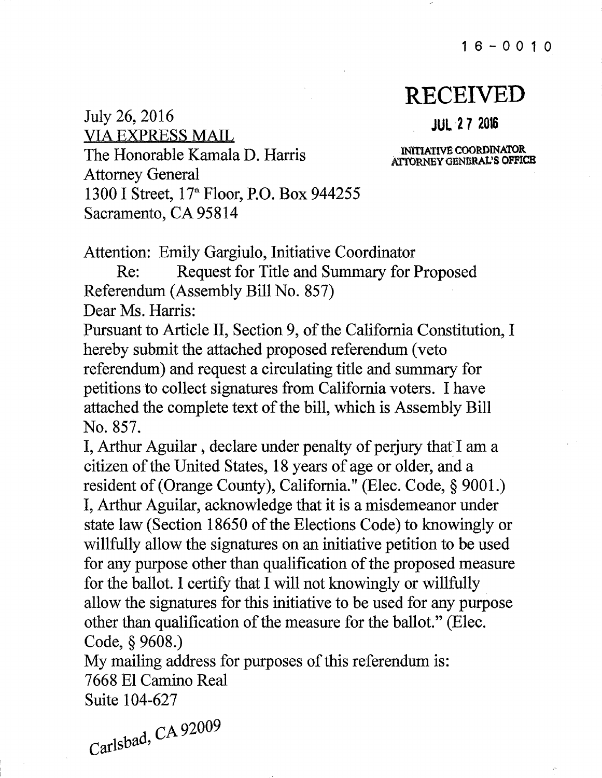16-0010

# **RECEIVED**

### **JUL ·2 7 2016**

lNlTIATIVE COORDINATOR ATTORNEY GENERAL'S OFFICE

VIA EXPRESS MAIL The Honorable Kamala D. Harris Attorney General 1300 I Street, 17<sup>th</sup> Floor, P.O. Box 944255 Sacramento, CA 95814

Attention: Emily Gargiulo, Initiative Coordinator

Re: Request for Title and Summary for Proposed Referendum (Assembly Bill No. 857)

Dear Ms. Harris:

July 26, 2016

Pursuant to Article II, Section 9, of the California Constitution, I hereby submit the attached proposed referendum ( veto referendum) and request a circulating title and summary for petitions to collect signatures from California voters. I have attached the complete text of the bill, which is Assembly Bill No. 857.

I, Arthur Aguilar, declare under penalty of perjury that I am a citizen of the United States, 18 years of age or older, and a resident of (Orange County), California." (Elec. Code, § 9001.) I, Arthur Aguilar, acknowledge that it is a misdemeanor under state law (Section 18650 of the Elections Code) to knowingly or willfully allow the signatures on an initiative petition to be used for any purpose other than qualification of the proposed measure for the ballot. I certify that I will not knowingly or willfully allow the signatures for this initiative to be used for any purpose other than qualification of the measure for the ballot." (Elec. Code, § 9608.)

My mailing address for purposes of this referendum is: 7668 El Camino Real Suite 104-627

 $_{d}$  CA 92009  $Carlsba<sup>d</sup>$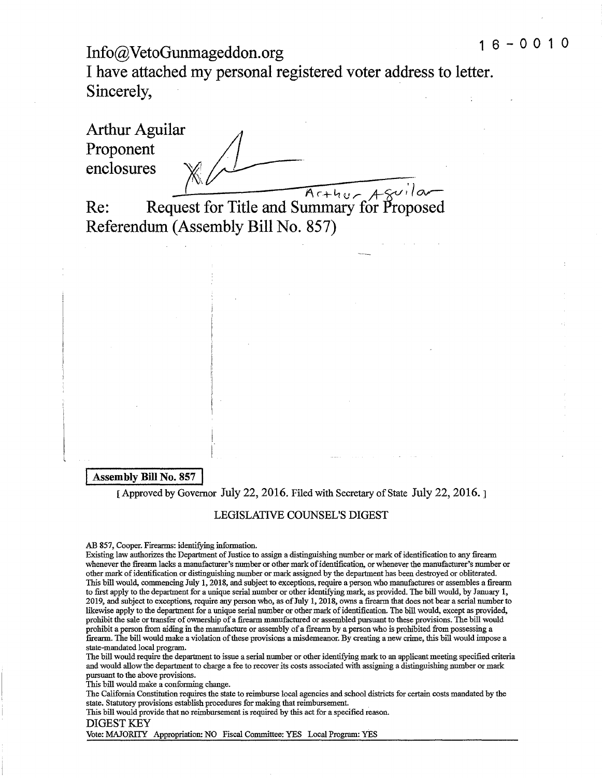# **1 6 - 0 0 1 Info@VetoGunmageddon.org**

**I have attached my personal registered voter address to letter. Sincerely,** 

Arthur Aguilar **Proponent enclosures** 

Arthur Aguilar

**Re: Request for Title and Summary for Proposed Referendum (Assembly Bill No. 857)** 

#### **Assembly Bill No. 857**

[Approved by Governor July 22, 2016. Filed with Secretary of State July 22, 2016.]

#### LEGISLATIVE COUNSEL'S DIGEST

#### AB 857, Cooper. Firearms: identifying information.

I I.,

Existing law authorizes the Department of Justice to assign a distinguishing number or mark of identification to any firearm whenever the firearm lacks a manufacturer's number or other mark ofidentification, or whenever the manufacturer's number or other mark ofidentification or distinguishing number or mark assigned by the department has been destroyed or obliterated. This bill would, commencing July 1, 2018, and subject to exceptions, require a person who manufactures or assembles a firearm to first apply to the department for a unique serial number or other identifying mark, as provided. The bill would, by January 1, 2019, and subject to exceptions, require any person who, as ofJuly l, 2018, owns a firearm that does not bear a serial number to likewise apply to the department for a unique serial number or other mark of identification. The bill would, except as provided, prohibit the sale or transfer of ownership of a firearm manufactured or assembled pursuant to these provisions. The bill would prohibit a person from aiding in the manufacture or assembly of a firearm by a person who is prohibited from possessing a firearm. The bill would make a violation ofthese provisions a misdemeanor. By creating a new crime, this bill would impose a state-mandated local program.

The bill would require the department to issue a serial number or other identifying mark to an applicant meeting specified criteria and would allow the department to charge a fee to recover its costs associated with assigning a distinguishing number or mark pursuant to the above provisions.

This bill would make a conforming change.

The California Constitution requires the state to reimburse local agencies and school districts for certain costs mandated by the state. Statutory provisions establish procedures for making that reimbursement.

This bill would provide that no reimbursement is required by this act for a specified reason.

DIGEST KEY

Vote: MAJORITY Appropriation: NO Fiscal Committee: YES Local Program: YES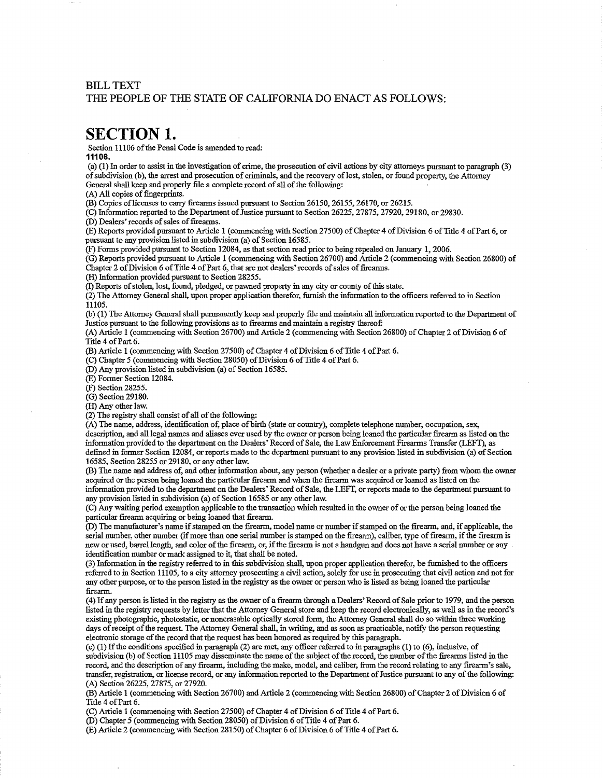### BILL TEXT THE PEOPLE OF THE STATE OF CALIFORNIA DO ENACT AS FOLLOWS:

### **SECTION 1.**

Section 11106 of the Penal Code is amended to read:

**11106.** 

(a) (1) In order to assist in the investigation of crime, the prosecution of civil actions by city attorneys pursuant to paragraph (3) of subdivision (b), the arrest and prosecution of criminals, and the recovery of lost, stolen, or found property, the Attorney General shall keep and properly file a complete record of all of the following:

(A) All copies of fingerprints.

(B) Copies of licenses to carry firearms issued pursuant to Section 26150, 26155, 26170, or 26215.

 $\overline{(C)}$  Information reported to the Department of Justice pursuant to Section 26225, 27875, 27920, 29180, or 29830.

 $(D)$  Dealers' records of sales of firearms.

(E) Reports provided pursuant to Article 1 ( commencing with Section 27500) ofChapter 4 ofDivision 6 ofTitle 4 ofPart 6, or pursuant to any provision listed in subdivision (a) of Section 16585.

(F) Forms provided pursuant to Section 12084, as that section read prior to being repealed on January 1, 2006.

 $(G)$  Reports provided pursuant to Article 1 (commencing with Section 26700) and Article 2 (commencing with Section 26800) of Chapter 2 of Division 6 of Title 4 of Part 6, that are not dealers' records of sales of firearms.

(H) Information provided pursuant to Section 28255.

 $(1)$  Reports of stolen, lost, found, pledged, or paymed property in any city or county of this state.

 $(2)$  The Attorney General shall, upon proper application therefor, furnish the information to the officers referred to in Section 11105.

(b) (1) The Attorney General shall permanently keep and properly :file and maintain all information reported to the Department of Justice pursuant to the following provisions as to firearms and maintain a registry thereof:

(A) Article 1 (commencing-with Section 26700) and Alticle 2 ( commencing with Section 26800) of Chapter 2 ofDivision 6 of Title 4 of Part 6.

(B) Article 1 (commencing with Section 27500) of Chapter 4 of Division 6 of Title 4 of Part 6.

(C) Chapter *5* (commencing with Section 28050) ofDivision 6 ofTitle 4 ofPart 6.

(D) Any provision listed in subdivision (a) of Section 16585.

(E) Former Section 12084.

(F) Section 28255.

(G) Section 29180.

(H) Any other law.

 $(2)$  The registry shall consist of all of the following:

(A) The name, address, identification of, place of birth (state or country), complete telephone number, occupation, sex, description, and all legal names and aliases ever used by the owner or person being loaned the particular firearm as listed on the information provided to the department on the Dealers' Record ofSale, the Law Enforcement Firearms Transfer (LEFT), as defined in former Section 12084, or reports made to the department pursuant to any provision listed in subdivision (a) of Section 16585, Section 28255 or 29180, or any other law.

(B) The name and address of, and other information about, any person (whether a dealer or a private party) from whom the owner acquired or the person being loaned the particular firearm and when the firearm was acquired or loaned as listed on the information provided to the department on the Dealers' Record of Sale, the LEFT, or reports made to the department pursuant to any provision listed in subdivision (a) of Section 16585 or any other law.

(C) Any waiting period exemption applicable to the transaction which resulted in the owner ofor the person being loaned the particular firearm acquiring or being loaned that firearm.

(D) The manufacturer's name ifstamped on the firearm, model name or number ifstamped on the firearm, and, if applicable, the serial number, other number (if more than one serial number is stamped on the firearm), caliber, type of firearm, if the firearm is new or used, barrel length, and color ofthe firearm, or, ifthe firearm is not a handgun and does not have a serial number or any identification number or mark assigned to it, that shall be noted.

(3) Information in the regisuy referred to in this subdivision shall, upon proper application therefor, be furnished to the officers referred to in Section 11105, to a city attorney prosecuting a civil action, solely for use in prosecuting that civil action and not for any other purpose, or to the person listed in the regisuy as the owner or person who is listed as being loaned the particular firearm.

(4) Ifany person is listed in the regisuy as the owner of a firearm through a Dealers' Record ofSale prior to 1979, and the person listed in the regisuy requests by letter that the Attorney General store and keep the record electronically, as well as in the record's existing photographic, photostatic, or nonerasable optically stored form, the Attorney General shall do so within three working days of receipt of the request. The Attorney General shall, in writing, and as soon as practicable, notify the person requesting electronic storage of the record that the request has been honored as required by this paragraph.

(c) (1) Ifthe conditions specified in paragraph (2) are met, any officer referred to in paragraphs (1) to (6), inclusive, of subdivision (b) of Section 11105 may disseminate the name of the subject of the record, the number of the firearms listed in the record, and the description of any firearm, including the make, model, and caliber, from the record relating to any firearm's sale, transfer, registration, or license record, or any information reported to the Department of Justice pursuant to any of the following: (A) Section 26225, 27875, or 27920.

(B) Article 1 (commencing with Section 26700) and Article 2 (commencing with Section 26800) of Chapter 2 of Division 6 of Title 4 of Part 6.

(C) Article 1 (commencing with Section 27500) of Chapter 4 of Division 6 of Title 4 of Part 6.

(D) Chapter 5 (commencing with Section 28050) of Division 6 of Title 4 of Part 6.

(E) Article 2 (commencing with Section 28150) of Chapter 6 of Division 6 of Title 4 of Part 6.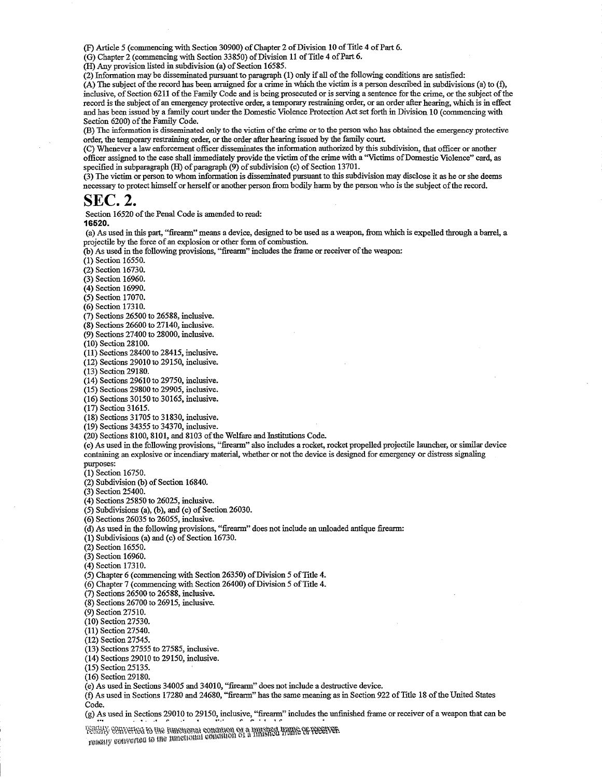(F) Article 5 (commencing with Section 30900) ofChapter 2 ofDivision 10 ofTitle 4 ofPart 6.

 $(G)$  Chapter 2 (commencing with Section 33850) of Division 11 of Title 4 of Part 6.

(H) Any provision listed in subdivision (a) of Section 16585.

(2) Information may be disseminated pursuant to paragraph (1) only if all of the following conditions are satisfied:

 $(A)$  The subject of the record has been arraigned for a crime in which the victim is a person described in subdivisions (a) to (f), inclusive, of Section 6211 of the Family Code and is being prosecuted or is serving a sentence for the crime, or the subject of the record is the subject of an emergency protective order, a temporary restraining order, or an order after hearing, which is in effect and has been issued by a family court under the Domestic Violence Protection Act set forth in Division 10 (commencing with Section 6200) of the Family Code.

(B) The information is disseminated only to the victim of the crime or to the person who has obtained the emergency protective order, the temporary restraining order, or the order after hearing issued by the family court.

(C) Whenever a law enforcement officer disseminates the information authorized by this subdivision, that officer or another officer assigned to the case shall immediately provide the victim ofthe crime with a ''Victims ofDomestic Violence" card, as specified in subparagraph  $(H)$  of paragraph  $(9)$  of subdivision  $(c)$  of Section 13701.

(3) The victim or person to whom information is disseminated pursuant to this subdivision may disclose it as he or she deems necessary to protect himself or herself or another person from bodily harm by the person who is the subject ofthe record.

# **SEC. 2.**

Section 16520 of the Penal Code is amended to read:

**16520.** 

(a) As used in this part, "firearm" means a device, designed to be used as a weapon, from which is expelled through a barrel, a projectile by the force of an explosion or other form of combustion.

(b) As used in the following provisions, "firearm" includes the frame or receiver of the weapon:

(1) Section 16550.

(2) Section 16730.

(3) Section 16960.

(4) Section 16990.

(5) Section 17070.

(6) Section 17310.

(7) Sections 26500 to 26588, inclusive.

 $(8)$  Sections 26600 to 27140, inclusive.

(9) Sections 27400 to 28000, inclusive.

(10) Section 28100.

 $(11)$  Sections 28400 to 28415, inclusive.

(12) Sections 29010 to 29150, inclusive.

(13) Section 29180.

(14) Sections 29610 to 29750, inclusive.

(15) Sections 29800 to 29905, inclusive.

(16) Sections 30150 to 30165, inclusive.

(17) Section 31615.

(18) Sections 31705 to 31830, inclusive.

(19) Sections 34355 to 34370, inclusive.

(20) Sections 8100, 8101, and 8103 ofthe Welfare and Institutions Code.

(c) As used in the following provisions, "firearm" also includes a rocket, rocket propelled projectile launcher, or similar device containing an explosive or incendiary material, whether or not the device is designed for emergency or distress signaling purposes:

(1) Section 16750.

(2) Subdivision (b) of Section 16840.

(3) Section 25400.

(4) Sections 25850 to 26025, inclusive.

(5) Subdivisions (a), (b), and (c) of Section 26030.

(6) Sections 26035 to 26055, inclusive.

(d) As used in the following provisions, "firearm" does not include an unloaded antique firearm:

 $(1)$  Subdivisions (a) and (c) of Section 16730.

(2) Section 16550.

(3) Section 16960.

(4) Section 17310.

(5) Chapter 6 (commencing with Section 26350) of Division 5 of Title 4.

 $(6)$  Chapter 7 (commencing with Section 26400) of Division 5 of Title 4.

(7) Sections 26500 to 26588, inclusive.

(8) Sections 26700 to 26915, inclusive.

(9) Section 27510.

(10) Section 27530.

(11) Section 27540.

(12) Section 27545.

(13) Sections 27555 to 27585, inclusive.

(14) Sections 29010 to 29150, inclusive.

(15) Section 25135.

(16) Section 29180.

(e) As used in Sections 34005 and 34010, "firearm" does not include a destructive device.

(f) As used in Sections 17280 and 24680, "firearm"has the same meaning as in Section 922 ofTitle 18 ofthe United States Code.

(g) As used in Sections 29010 to 29150, inclusive, "firearm" includes the unfinished frame or receiver of a weapon that can be ..... • **1 ••11** *r* **• 1 1•.•** *r r* **• 'I ,** *r* •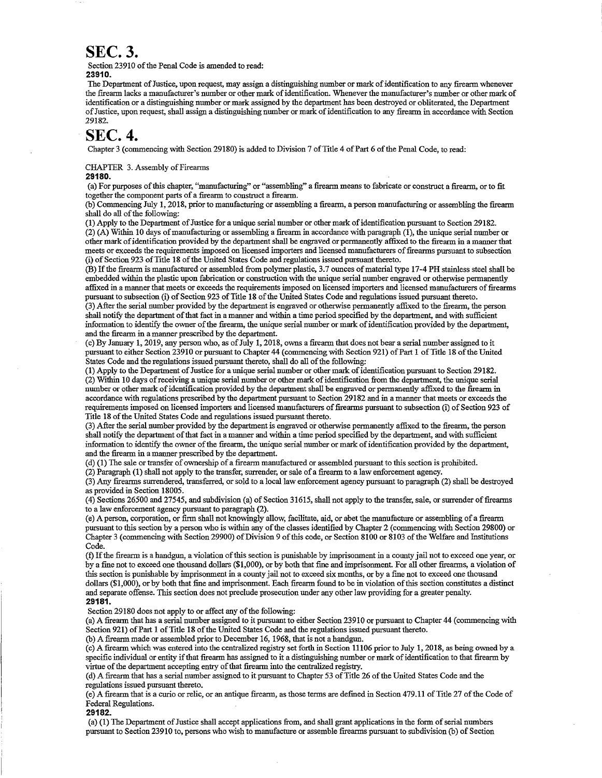## **SEC. 3.**

Section 23910 of the Penal Code is amended to read: **23910.** 

The Department of Justice, upon request, may assign a distinguishing number or mark of identification to any firearm whenever the firearm lacks a manufacturer's number or other mark ofidentification. Whenever the manufacturer's number or other mark of identification or a distinguishing number or mark assigned by the department has been destroyed or obliterated, the Department of Justice, upon request, shall assign a distinguishing number or mark of identification to any firearm in accordance with Section 29182.

# **SEC. 4.**

Chapter 3 (commencing with Section 29180) is added to Division 7 of Title 4 of Part 6 of the Penal Code, to read:

CHAPTER 3. Assembly of Firearms

#### **29180.**

(a) For purposes ofthis chapter, "manufacturing" or "assembling" a firearm means to fabricate or construct a firearm, or to fit together the component parts of a firearm to construct a firearm.

(b) Commencing July 1, 2018, prior to manufacturing or assembling a firearm, a person manufacturing or assembling the firearm shall do all of the following:

(1) Apply to the Department ofJustice for a unique serial number or other mark ofidentification pursuant to Section 29182. (2) (A) Within 10 days ofmanufacturing or assembling a firearm in accordance with paragraph (1), the unique serial number or other mark of identification provided by the department shall be engraved or permanently affixed to the firearm in a manner that meets or exceeds the requirements imposed on licensed importers and licensed manufacturers of firearms pursuant to subsection (i) of Section 923 ofTitle 18 ofthe United States Code and regulations issued pursuant thereto.

(B) If the firearm is manufactured or assembled from polymer plastic, 3.7 ounces of material type 17-4 PH stainless steel shall be embedded within the plastic upon fabrication or construction with the unique serial number engraved or otherwise permanently affixed in a manner that meets or exceeds the requirements imposed on licensed importers and licensed manufacturers offirearms pursuant to subsection (i) of Section 923 of Title 18 of the United States Code and regulations issued pursuant thereto.

(3) After the serial number provided by the department is engraved or otherwise permanently affixed to the firearm, the person shall notify the department ofthat fact in a manner and within a time period specified by the department, and with sufficient information to identify the owner ofthe firearm, the unique serial number or mark ofidentification provided by the department, and the firearm in a manner prescribed by the department.

(c) By January 1, 2019, any person who, as of July 1, 2018, owns a firearm that does not bear a serial number assigned to it pursuant to either Section 23910 or pursuant to Chapter 44 (commencing with Section 921) ofPart 1 ofTitle 18 ofthe United States Code and the regulations issued pursuant thereto, shall do all of the following:

(1) Apply to the Department of Justice for a unique serial number or other mark of identification pursuant to Section 29182.  $(2)$  Within 10 days of receiving a unique serial number or other mark of identification from the department, the unique serial number or other mark of identification provided by the department shall be engraved or permanently affixed to the firearm in accordance with regulations prescribed by the department pursuant to Section 29182 and in a manner that meets or exceeds the requirements imposed on licensed importers and licensed manufacturers of firearms pursuant to subsection (i) of Section 923 of Title 18 of the United States Code and regulations issued pursuant thereto.

(3) After the serial number provided by the department is engraved or otherwise permanently affixed to the firearm, the person shall notify the department ofthat fact in a manner and within a time period specified by the department, and with sufficient information to identify the owner of the firearm, the unique serial number or mark of identification provided by the department, and the firearm in a manner prescribed by the department.

(d) (1) The sale or transfer of ownership of a firearm manufactured or assembled pursuant to this section is prohibited.

(2) Paragraph (1) shall not apply to the transfer, surrender, or sale of a firearm to a law enforcement agency.

(3) Any firearms sun·endered, transferred, or sold to a local law enforcement agency pursuant to paragraph (2) shall be destroyed as provided in Section 18005.

(4) Sections 26500 and 27545, and subdivision (a) of Section 31615, shall not apply to the transfer, sale, or surrender offirearms to a law enforcement agency pursuant to paragraph (2).

(e) A person, corporation, or firm shall not knowingly allow, facilitate, aid, or abet the manufacture or assembling of a firearm pursuant to this section by a person who is within any of the classes identified by Chapter 2 (commencing with Section 29800) or Chapter 3 (commencing with Section 29900) of Division 9 of this code, or Section 8100 or 8103 of the Welfare and Institutions Code.

(f) Ifthe firearm is a handgun, a violation ofthis section is punishable by imprisonment in a county jail not to exceed one year, or by a fine not to exceed one thousand dollars (\$1,000), or by both that fine and imprisonment. For all other firearms, a violation of this section is punishable by imprisonment in a county jail not to exceed six months, or by a fine not to exceed one thousand dollars (\$1,000), or by both that fine and imprisonment. Each firearm found to be in violation ofthis section constitutes a distinct and separate offense. This section does not preclude prosecution under any other law providing for a greater penalty. **29181.** 

Section 29180 does not apply to or affect any of the following:

(a) A firearm that has a serial number assigned to it pursuant to either Section 23910 or pursuant to Chapter 44 (commencing with Section 921) of Part 1 of Title 18 of the United States Code and the regulations issued pursuant thereto.

(b) A firearm made or assembled prior to December 16, 1968, that is not a handgun.

(c) A firearm which was entered into the centralized registry set forth in Section 11106 prior to July 1, 2018, as being owned by a specific individual or entity if that firearm has assigned to it a distinguishing number or mark of identification to that firearm by virtue of the department accepting entry of that firearm into the centralized registry.

(d) A firearm that has a serial number assigned to it pursuant to Chapter 53 ofTitle 26 ofthe United States Code and the regulations issued pursuant thereto.

(e) A firearm that is a curio or relic, or an antique firearm, as those terms are defined in Section 479.11 ofTitle 27 ofthe Code of Federal Regulations.

**29182.** 

(a) (1) The Department ofJustice shall accept applications from, and shall grant applications in the form ofserial numbers pursuant to Section 23910 to, persons who wish to manufacture or assemble firearms pursuant to subdivision (b) of Section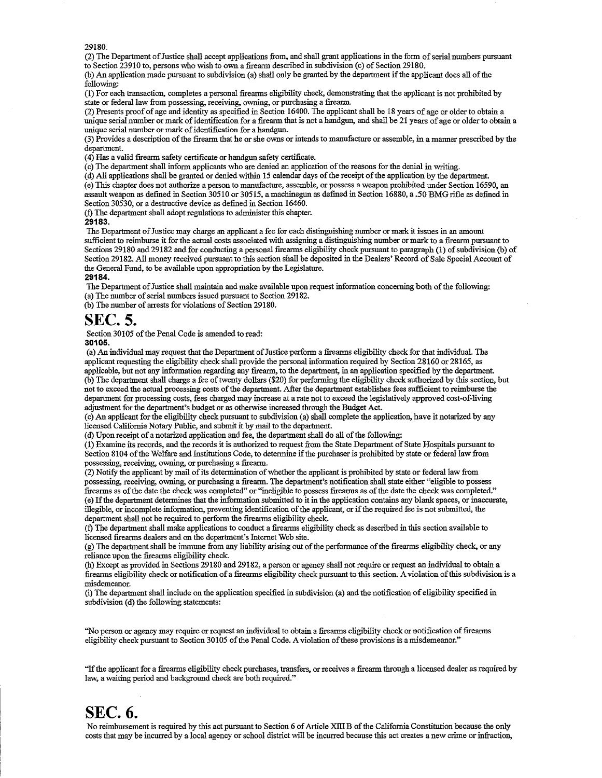29180.

(2) The Department of Justice shall accept applications from, and shall grant applications in the form of serial numbers pursuant to Section 23910 to, persons who wish to own a firearm described in subdivision (c) of Section 29180.

(b) An application made pursuant to subdivision (a) shall only be granted by the department if the applicant does all of the following:

(1) For each transaction, completes a personal firearms eligibility check, demonstrating that the applicant is not prohibited by state or federal law from possessing, receiving, owning, or purchasing a firearm.

(2) Presents proof of age and identity as specified in Section 16400. The applicant shall be 18 years of age or older to obtain a unique serial number or mark of identification for a firearm that is not a handgun, and shall be 21 years of age or older to obtain a unique serial number or mark of identification for a handgun.

(3) Provides a description ofthe firearm that he or she owns or intends to manufacture or assemble, in a manner prescn'bed by the department.

(4) Has a valid firearm safety certificate or handgun safety certificate.

(c) The department shall inform applicants who are denied an application of the reasons for the denial in writing.

(d) All applications shall be granted or denied within 15 calendar days ofthe receipt ofthe application by the department.

(e) This chapter does not authorize a person to manufacture, assemble, or possess a weapon prohibited under Section 16590, an assault weapon as defmed in Section 30510 or 30515, a machinegun as defined in Section 16880, a .50 BMG rifle as defined in Section 30530, or a destructive device as defined in Section 16460.

(f) The department shall adopt regulations to administer this chapter.

**29183.** 

The Department of Justice may charge an applicant a fee for each distinguishing number or mark it issues in an amount sufficient to reimburse it for the actual costs associated with assigning a distinguishing number or mark to a firearm pursuant to Sections 29180 and 29182 and for conducting a personal firearms eligibility check pursuant to paragraph (1) of subdivision (b) of Section 29182. All money received pursuant to this section shall be deposited in the Dealers' Record of Sale Special Account of the General Fund, to be available upon appropriation by the Legislature. **29184.** 

The Department of Justice shall maintain and make available upon request information concerning both of the following: (a) The number of serial numbers issued pursuant to Section 29182.

 $(b)$  The number of arrests for violations of Section 29180.

# **SEC. 5.**

Section 30105 of the Penal Code is amended to read:

**30106.** 

(a) An individual may request that the Department of Justice perform a firearms eligibility check for that individual. The applicant requesting the eligibility check shall provide the personal information required by Section 28160 or 28165, as applicable, but not any information regarding any firearm, to the department, in an application specified by the department. (b) The department shall charge a fee oftwenty dollars (\$20) for perfonning the eligibility check authorized by this section, but not to exceed the actual processing costs of the department. After the department establishes fees sufficient to reimburse the department for processing costs, fees charged may increase at a rate not to exceed the legislatively approved cost-of-living adjustment for the department's budget or as otherwise increased through the Budget Act.

(c) An applicant for the eligibility check pursuant to subdivision (a) shall complete the application, have it notarized by any licensed California Notary Public, and submit it by mail to the department.

(d) Upon receipt of a notarized application and fee, the department shall do all ofthe following:

(1) Examine its records, and the records it is authorized to request from the State Department ofState Hospitals pursuant to Section 8104 of the Welfare and Institutions Code, to determine if the purchaser is prohibited by state or federal law from possessing, receiving, owning, or purchasing a firearm.

(2) Notify the applicant by mail ofits detennination ofwhether the applicant is prohibited by state or federal law from possessing, receiving, owning, or purchasing a firearm. The department's notification shall state either "eligible to possess firearms as ofthe date the check was completed" or "ineligible to possess firearms as ofthe date the check was completed." (e) Ifthe department determines that the information submitted to it in the application contains any blank spaces, or inaccurate, illegible, or incomplete information, preventing identification of the applicant, or if the required fee is not submitted, the department shall not be required to perform the frrearms eligibility check.

(f) The department shall make applications to conduct a firearms eligibility check as described in this section available to licensed firearms dealers and on the department's Internet Web site.

 $(g)$  The department shall be immune from any liability arising out of the performance of the firearms eligibility check, or any reliance upon the fireanns eligibility check.

(h) Except as provided in Sections 29180 and 29182, a person or agency shall not require or request an individual to obtain a firearms eligibility check or notification of a firearms eligibility check pursuant to this section. A violation ofthis subdivision is a misdemeanor.

(i) The department shall include on the application specified in subdivision (a) and the notification of eligibility specified in subdivision (d) the following statements:

"No person or agency may require or request an individual to obtain a firearms eligibility check or notification offirearms eligibility check pursuant to Section 30105 of the Penal Code. A violation of these provisions is a misdemeanor."

"Ifthe applicant for a firearms eligibility check purchases, transfers, or receives a firearm through a licensed dealer as required by law, a waiting period and background check are both required."

# **SEC. 6.**

No reimbursement is required by this act pursuant to Section 6 of Article XIII B of the California Constitution because the only costs that may be incurred by a local agency or school district will be incurred because this act creates a new crime orinfraction,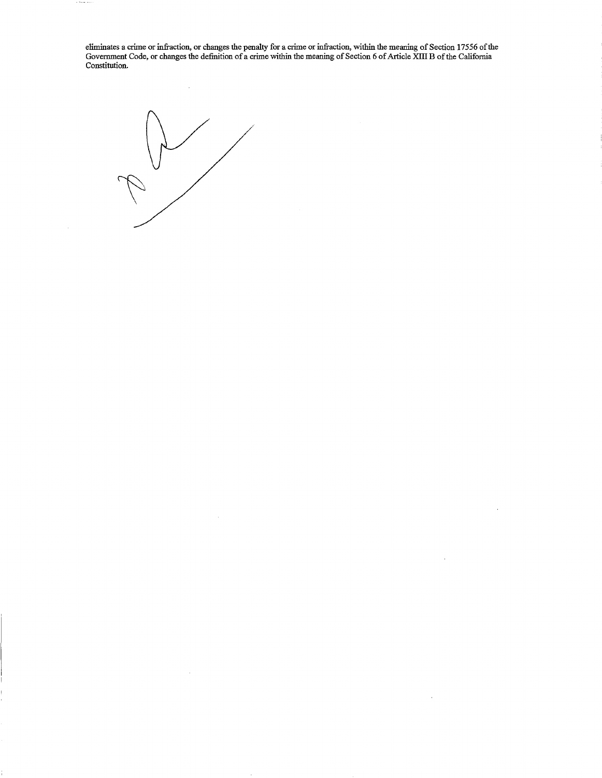eliminates a crime or infraction, or changes the penalty for a crime or infraction, within the meaning of Section 17556 of the Government Code, or changes the definition of a crime within the meaning of Section 6 of Article XIII B of the California Constitution.

 $\ddot{\phantom{a}}$ 

 $\bar{L}$ 

 $\bar{\mathcal{A}}$ 



 $\bar{z}$ 

 $\sim$ 

. . . .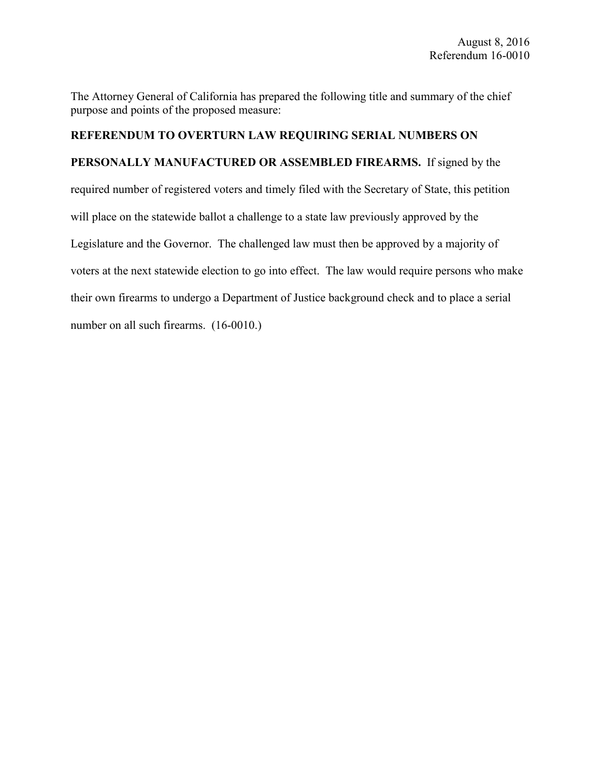The Attorney General of California has prepared the following title and summary of the chief purpose and points of the proposed measure:

### **REFERENDUM TO OVERTURN LAW REQUIRING SERIAL NUMBERS ON**

**PERSONALLY MANUFACTURED OR ASSEMBLED FIREARMS.** If signed by the required number of registered voters and timely filed with the Secretary of State, this petition will place on the statewide ballot a challenge to a state law previously approved by the Legislature and the Governor. The challenged law must then be approved by a majority of voters at the next statewide election to go into effect. The law would require persons who make their own firearms to undergo a Department of Justice background check and to place a serial number on all such firearms. (16-0010.)